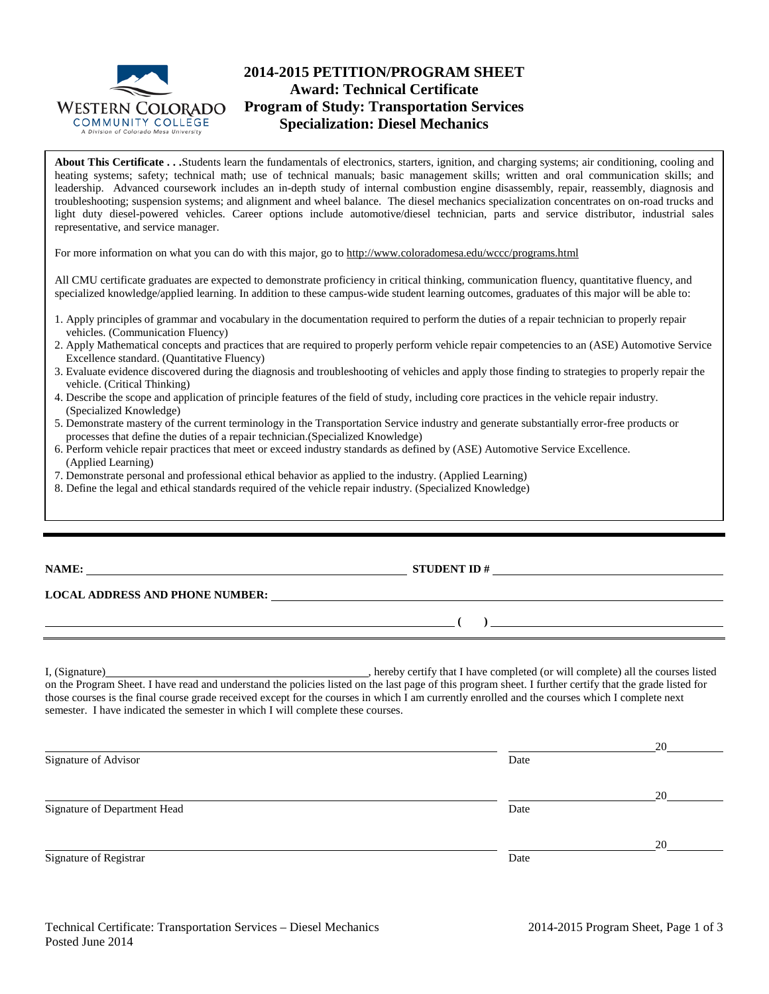

## **2014-2015 PETITION/PROGRAM SHEET Award: Technical Certificate Program of Study: Transportation Services Specialization: Diesel Mechanics**

**About This Certificate . . .**Students learn the fundamentals of electronics, starters, ignition, and charging systems; air conditioning, cooling and heating systems; safety; technical math; use of technical manuals; basic management skills; written and oral communication skills; and leadership. Advanced coursework includes an in-depth study of internal combustion engine disassembly, repair, reassembly, diagnosis and troubleshooting; suspension systems; and alignment and wheel balance. The diesel mechanics specialization concentrates on on-road trucks and light duty diesel-powered vehicles. Career options include automotive/diesel technician, parts and service distributor, industrial sales representative, and service manager.

For more information on what you can do with this major, go to http://www.coloradomesa.edu/wccc/programs.html

All CMU certificate graduates are expected to demonstrate proficiency in critical thinking, communication fluency, quantitative fluency, and specialized knowledge/applied learning. In addition to these campus-wide student learning outcomes, graduates of this major will be able to:

- 1. Apply principles of grammar and vocabulary in the documentation required to perform the duties of a repair technician to properly repair vehicles. (Communication Fluency)
- 2. Apply Mathematical concepts and practices that are required to properly perform vehicle repair competencies to an (ASE) Automotive Service Excellence standard. (Quantitative Fluency)
- 3. Evaluate evidence discovered during the diagnosis and troubleshooting of vehicles and apply those finding to strategies to properly repair the vehicle. (Critical Thinking)
- 4. Describe the scope and application of principle features of the field of study, including core practices in the vehicle repair industry. (Specialized Knowledge)
- 5. Demonstrate mastery of the current terminology in the Transportation Service industry and generate substantially error-free products or processes that define the duties of a repair technician.(Specialized Knowledge)
- 6. Perform vehicle repair practices that meet or exceed industry standards as defined by (ASE) Automotive Service Excellence. (Applied Learning)
- 7. Demonstrate personal and professional ethical behavior as applied to the industry. (Applied Learning)
- 8. Define the legal and ethical standards required of the vehicle repair industry. (Specialized Knowledge)

**STUDENT ID #** 

**( )** 

## **LOCAL ADDRESS AND PHONE NUMBER:**

I, (Signature) , hereby certify that I have completed (or will complete) all the courses listed on the Program Sheet. I have read and understand the policies listed on the last page of this program sheet. I further certify that the grade listed for those courses is the final course grade received except for the courses in which I am currently enrolled and the courses which I complete next semester. I have indicated the semester in which I will complete these courses.

|                              |      | 20 |
|------------------------------|------|----|
| Signature of Advisor         | Date |    |
|                              |      | 20 |
| Signature of Department Head | Date |    |
|                              |      | 20 |
| Signature of Registrar       | Date |    |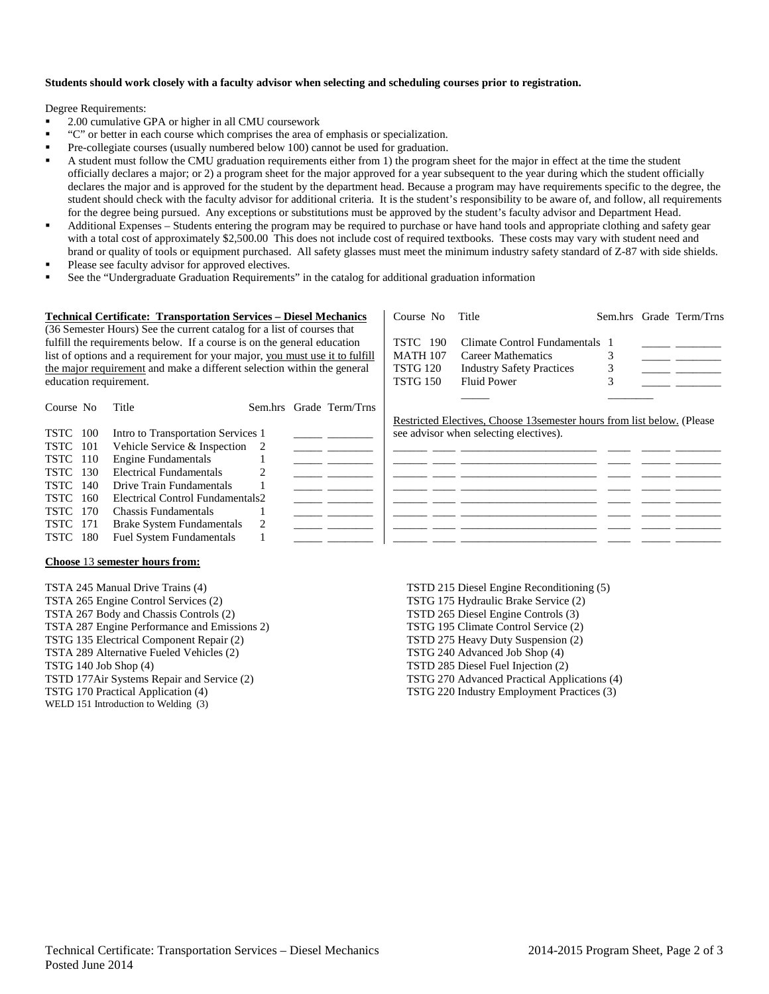### **Students should work closely with a faculty advisor when selecting and scheduling courses prior to registration.**

Degree Requirements:

- 2.00 cumulative GPA or higher in all CMU coursework
- "C" or better in each course which comprises the area of emphasis or specialization.
- Pre-collegiate courses (usually numbered below 100) cannot be used for graduation.
- A student must follow the CMU graduation requirements either from 1) the program sheet for the major in effect at the time the student officially declares a major; or 2) a program sheet for the major approved for a year subsequent to the year during which the student officially declares the major and is approved for the student by the department head. Because a program may have requirements specific to the degree, the student should check with the faculty advisor for additional criteria. It is the student's responsibility to be aware of, and follow, all requirements for the degree being pursued. Any exceptions or substitutions must be approved by the student's faculty advisor and Department Head.
- Additional Expenses Students entering the program may be required to purchase or have hand tools and appropriate clothing and safety gear with a total cost of approximately \$2,500.00 This does not include cost of required textbooks. These costs may vary with student need and brand or quality of tools or equipment purchased. All safety glasses must meet the minimum industry safety standard of Z-87 with side shields.
- Please see faculty advisor for approved electives.
- See the "Undergraduate Graduation Requirements" in the catalog for additional graduation information

| <b>Technical Certificate: Transportation Services – Diesel Mechanics</b>     |                                                                        | Course No       | Title                                                                   |  | Sem.hrs Grade Term/Trns |
|------------------------------------------------------------------------------|------------------------------------------------------------------------|-----------------|-------------------------------------------------------------------------|--|-------------------------|
|                                                                              | (36 Semester Hours) See the current catalog for a list of courses that |                 |                                                                         |  |                         |
| fulfill the requirements below. If a course is on the general education      |                                                                        | <b>TSTC</b> 190 | Climate Control Fundamentals 1                                          |  |                         |
| list of options and a requirement for your major, you must use it to fulfill |                                                                        | <b>MATH 107</b> | Career Mathematics                                                      |  |                         |
| the major requirement and make a different selection within the general      |                                                                        | <b>TSTG 120</b> | <b>Industry Safety Practices</b>                                        |  |                         |
| education requirement.                                                       |                                                                        | <b>TSTG 150</b> | <b>Fluid Power</b>                                                      |  |                         |
|                                                                              |                                                                        |                 |                                                                         |  |                         |
| Course No                                                                    | Sem.hrs Grade Term/Trns<br>Title                                       |                 |                                                                         |  |                         |
|                                                                              |                                                                        |                 | Restricted Electives, Choose 13 semester hours from list below. (Please |  |                         |
| <b>TSTC</b><br>100                                                           | Intro to Transportation Services 1                                     |                 | see advisor when selecting electives).                                  |  |                         |
| TSTC<br>101                                                                  | Vehicle Service & Inspection<br>-2                                     |                 |                                                                         |  |                         |
| TSTC<br>110                                                                  | <b>Engine Fundamentals</b>                                             |                 |                                                                         |  |                         |
| 130<br>TSTC                                                                  | <b>Electrical Fundamentals</b>                                         |                 |                                                                         |  |                         |
| TSTC<br>140                                                                  | Drive Train Fundamentals                                               |                 |                                                                         |  |                         |
| <b>TSTC</b><br>160                                                           | Electrical Control Fundamentals2                                       |                 |                                                                         |  |                         |
| 170<br><b>TSTC</b>                                                           | Chassis Fundamentals                                                   |                 |                                                                         |  |                         |
| 171<br><b>TSTC</b>                                                           | <b>Brake System Fundamentals</b>                                       |                 |                                                                         |  |                         |
| 180<br>TSTC                                                                  | <b>Fuel System Fundamentals</b>                                        |                 |                                                                         |  |                         |

#### **Choose** 13 **semester hours from:**

TSTA 245 Manual Drive Trains (4) TSTA 265 Engine Control Services (2) TSTA 267 Body and Chassis Controls (2) TSTA 287 Engine Performance and Emissions 2) TSTG 135 Electrical Component Repair (2) TSTA 289 Alternative Fueled Vehicles (2) TSTG 140 Job Shop (4) TSTD 177Air Systems Repair and Service (2) TSTG 170 Practical Application (4) WELD 151 Introduction to Welding (3)

TSTD 215 Diesel Engine Reconditioning (5) TSTG 175 Hydraulic Brake Service (2) TSTD 265 Diesel Engine Controls (3) TSTG 195 Climate Control Service (2) TSTD 275 Heavy Duty Suspension (2) TSTG 240 Advanced Job Shop (4) TSTD 285 Diesel Fuel Injection (2) TSTG 270 Advanced Practical Applications (4) TSTG 220 Industry Employment Practices (3)